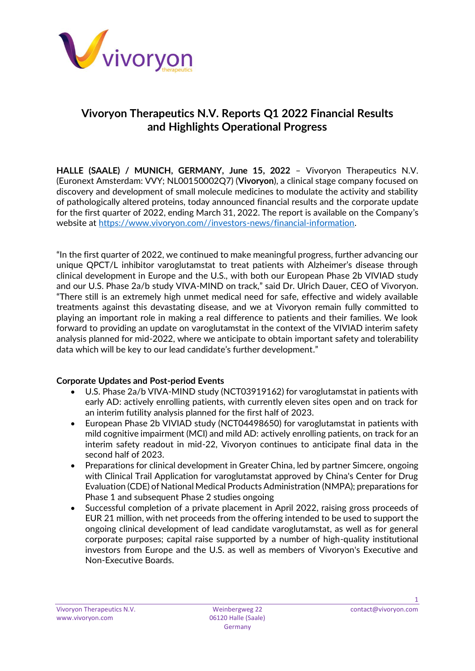

# **Vivoryon Therapeutics N.V. Reports Q1 2022 Financial Results and Highlights Operational Progress**

**HALLE (SAALE) / MUNICH, GERMANY, June 15, 2022** – Vivoryon Therapeutics N.V. (Euronext Amsterdam: VVY; NL00150002Q7) (**Vivoryon**), a clinical stage company focused on discovery and development of small molecule medicines to modulate the activity and stability of pathologically altered proteins, today announced financial results and the corporate update for the first quarter of 2022, ending March 31, 2022. The report is available on the Company's website at [https://www.vivoryon.com//investors-news/financial-information.](https://www.vivoryon.com/investors-news/financial-information)

"In the first quarter of 2022, we continued to make meaningful progress, further advancing our unique QPCT/L inhibitor varoglutamstat to treat patients with Alzheimer's disease through clinical development in Europe and the U.S., with both our European Phase 2b VIVIAD study and our U.S. Phase 2a/b study VIVA-MIND on track," said Dr. Ulrich Dauer, CEO of Vivoryon. "There still is an extremely high unmet medical need for safe, effective and widely available treatments against this devastating disease, and we at Vivoryon remain fully committed to playing an important role in making a real difference to patients and their families. We look forward to providing an update on varoglutamstat in the context of the VIVIAD interim safety analysis planned for mid-2022, where we anticipate to obtain important safety and tolerability data which will be key to our lead candidate's further development."

# **Corporate Updates and Post-period Events**

- U.S. Phase 2a/b VIVA-MIND study (NCT03919162) for varoglutamstat in patients with early AD: actively enrolling patients, with currently eleven sites open and on track for an interim futility analysis planned for the first half of 2023.
- European Phase 2b VIVIAD study (NCT04498650) for varoglutamstat in patients with mild cognitive impairment (MCI) and mild AD: actively enrolling patients, on track for an interim safety readout in mid-22, Vivoryon continues to anticipate final data in the second half of 2023.
- Preparations for clinical development in Greater China, led by partner Simcere, ongoing with Clinical Trail Application for varoglutamstat approved by China's Center for Drug Evaluation (CDE) of National Medical Products Administration (NMPA); preparations for Phase 1 and subsequent Phase 2 studies ongoing
- Successful completion of a private placement in April 2022, raising gross proceeds of EUR 21 million, with net proceeds from the offering intended to be used to support the ongoing clinical development of lead candidate varoglutamstat, as well as for general corporate purposes; capital raise supported by a number of high-quality institutional investors from Europe and the U.S. as well as members of Vivoryon's Executive and Non-Executive Boards.

1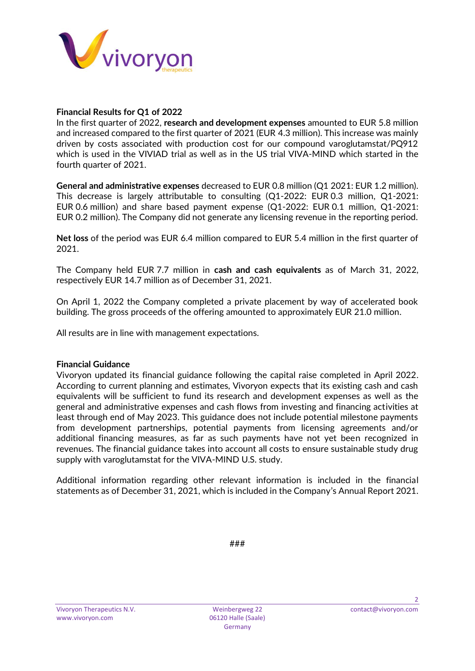

## **Financial Results for Q1 of 2022**

In the first quarter of 2022, **research and development expenses** amounted to EUR 5.8 million and increased compared to the first quarter of 2021 (EUR 4.3 million). This increase was mainly driven by costs associated with production cost for our compound varoglutamstat/PQ912 which is used in the VIVIAD trial as well as in the US trial VIVA-MIND which started in the fourth quarter of 2021.

**General and administrative expenses** decreased to EUR 0.8 million (Q1 2021: EUR 1.2 million). This decrease is largely attributable to consulting (Q1-2022: EUR 0.3 million, Q1-2021: EUR 0.6 million) and share based payment expense (Q1-2022: EUR 0.1 million, Q1-2021: EUR 0.2 million). The Company did not generate any licensing revenue in the reporting period.

**Net loss** of the period was EUR 6.4 million compared to EUR 5.4 million in the first quarter of 2021.

The Company held EUR 7.7 million in **cash and cash equivalents** as of March 31, 2022, respectively EUR 14.7 million as of December 31, 2021.

On April 1, 2022 the Company completed a private placement by way of accelerated book building. The gross proceeds of the offering amounted to approximately EUR 21.0 million.

All results are in line with management expectations.

#### **Financial Guidance**

Vivoryon updated its financial guidance following the capital raise completed in April 2022. According to current planning and estimates, Vivoryon expects that its existing cash and cash equivalents will be sufficient to fund its research and development expenses as well as the general and administrative expenses and cash flows from investing and financing activities at least through end of May 2023. This guidance does not include potential milestone payments from development partnerships, potential payments from licensing agreements and/or additional financing measures, as far as such payments have not yet been recognized in revenues. The financial guidance takes into account all costs to ensure sustainable study drug supply with varoglutamstat for the VIVA-MIND U.S. study.

Additional information regarding other relevant information is included in the financial statements as of December 31, 2021, which is included in the Company's Annual Report 2021.